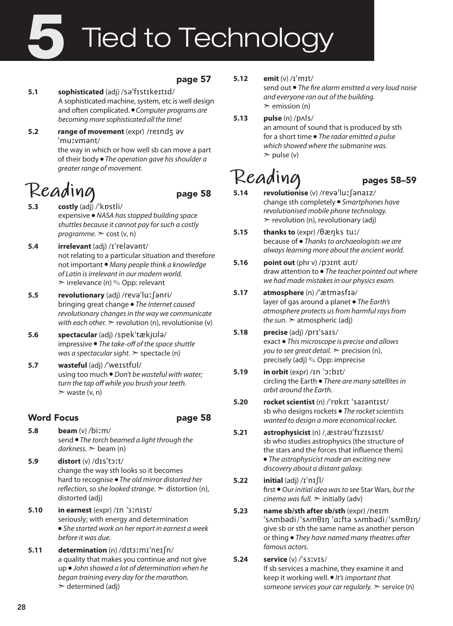# Tied to Technology 5

### page 57

### **5.1 sophisticated** (adj) /səˈfɪstɪkeɪtɪd/ A sophisticated machine, system, etc is well design and often complicated. ● *Computer programs are becoming more sophisticated all the time!*

**5.2 range of movement** (expr) /reɪndʒ əv ˈmuːvmənt/ the way in which or how well sb can move a part

of their body ● *The operation gave his shoulder a greater range of movement.*

# $\text{Realing}$  page 58<br>5.3 costly (adi) / kpstli/

- **5.3 costly** (adj) /ˈkɒstli/ expensive ● *NASA has stopped building space shuttles because it cannot pay for such a costly programme.* ➣ cost (v, n)
- **5.4 irrelevant** (adj) /ɪˈreləvənt/ not relating to a particular situation and therefore not important ● *Many people think a knowledge of Latin is irrelevant in our modern world.*  $\triangleright$  irrelevance (n)  $\otimes$  Opp: relevant
- **5.5 revolutionary** (adj) /revəˈluːʃənri/ bringing great change ● *The Internet caused revolutionary changes in the way we communicate with each other.*  $\ge$  revolution (n), revolutionise (v)
- **5.6 spectacular** (adj) /spekˈtækjʊlə/ impressive ● *The take-off of the space shuttle was a spectacular sight.* ➣ spectacle (n)
- **5.7 wasteful** (adj) /ˈweɪstfʊl/ using too much ● *Don't be wasteful with water; turn the tap off while you brush your teeth.*  $\ge$  waste (v, n)

### Word Focus **page 58**

- **5.8 beam** (v) /biːm/ send ● *The torch beamed a light through the darkness.* ➣ beam (n)
- **5.9 distort** (v) /dɪsˈtɔːt/ change the way sth looks so it becomes hard to recognise ● *The old mirror distorted her reflection, so she looked strange.* ➣ distortion (n), distorted (adj)
- **5.10 in earnest** (expr) /ɪn ˈɜːnɪst/ seriously; with energy and determination ● *She started work on her report in earnest a week before it was due.*
- **5.11 determination** (n) /dɪtɜːmɪˈneɪʃn/ a quality that makes you continue and not give up ● *John showed a lot of determination when he began training every day for the marathon.*  $\ge$  determined (adj)

### **5.12 emit** (v) /ɪˈmɪt/

send out ● *The fire alarm emitted a very loud noise and everyone ran out of the building.*  $\ge$  emission (n)

**5.13 pulse** (n) /pʌls/ an amount of sound that is produced by sth for a short time ● *The radar emitted a pulse which showed where the submarine was.*  $\geq$  pulse (v)

# Reading<br>5.14 revolutionise (v) /revə<sup>l</sup>luː sənarz/

- **5.14 revolutionise** (v) /revəˈluːʃənaɪz/ change sth completely ● *Smartphones have revolutionised mobile phone technology.*  $\triangleright$  revolution (n), revolutionary (adj)
- **5.15 thanks to** (expr) /θæŋks tuː/ because of ● *Thanks to archaeologists we are always learning more about the ancient world.*
- **5.16 point out** (phr v) /pɔɪnt aʊt/ draw attention to ● *The teacher pointed out where we had made mistakes in our physics exam.*
- **5.17 atmosphere** (n) /ˈætməsfɪə/ layer of gas around a planet ● *The Earth's atmosphere protects us from harmful rays from the sun.* ➣ atmospheric (adj)
- **5.18 precise** (adj) /prɪˈsaɪs/ exact ● *This microscope is precise and allows you to see great detail.* ➣ precision (n), precisely (adj) ✎ Opp: imprecise
- **5.19 in orbit** (expr) /ɪn ˈɔːbɪt/ circling the Earth ● *There are many satellites in orbit around the Earth.*
- **5.20 rocket scientist** (n) /ˈrɒkɪt ˈsaɪəntɪst/ sb who designs rockets ● *The rocket scientists wanted to design a more economical rocket.*
- **5.21 astrophysicist** (n) /ˌæstrəʊˈfɪzɪsɪst/ sb who studies astrophysics (the structure of the stars and the forces that influence them) ● *The astrophysicist made an exciting new discovery about a distant galaxy.*
- **5.22 initial** (adj) /ɪˈnɪʃl/ first ● *Our initial idea was to see* Star Wars, *but the cinema was full.*  $\geq$  initially (adv)
- **5.23 name sb/sth after sb/sth** (expr) /neɪm ˈsʌmbədi/ˈsʌmθɪŋ ˈɑːftə sʌmbədi/ˈsʌmθɪŋ/ give sb or sth the same name as another person or thing ● *They have named many theatres after famous actors.*
- **5.24 service** (v) /ˈsɜːvɪs/ If sb services a machine, they examine it and keep it working well. ● *It's important that someone services your car regularly.* ➣ service (n)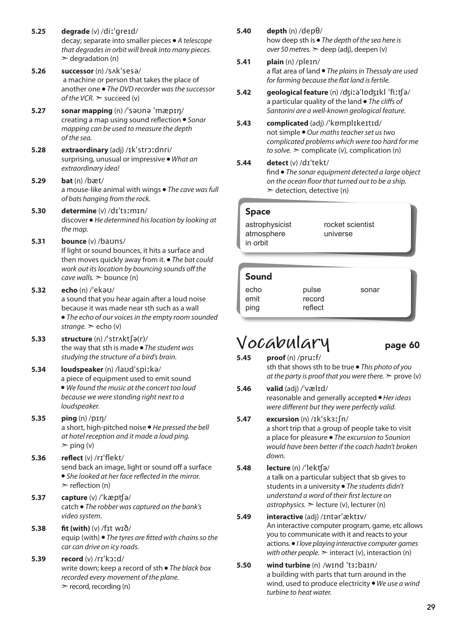- **5.25 degrade** (v) /diːˈgreɪd/ decay; separate into smaller pieces ● *A telescope that degrades in orbit will break into many pieces.*  $\geq$  degradation (n)
- **5.26 successor** (n) /sʌkˈsesə/ a machine or person that takes the place of another one ● *The DVD recorder was the successor of the VCR.* ➣ succeed (v)
- **5.27 sonar mapping** (n) /ˈsəʊnə ˈmæpɪŋ/ creating a map using sound reflection ● *Sonar mapping can be used to measure the depth of the sea.*
- **5.28 extraordinary** (adj) /ɪkˈstrɔːdnri/ surprising, unusual or impressive ● *What an extraordinary idea!*
- **5.29 bat** (n) /bæt/ a mouse-like animal with wings ● *The cave was full of bats hanging from the rock.*
- **5.30 determine** (v) /dɪˈtɜːmɪn/ discover ● *He determined his location by looking at the map.*
- **5.31 bounce** (v) /baʊns/ If light or sound bounces, it hits a surface and then moves quickly away from it. ● *The bat could work out its location by bouncing sounds off the cave walls.* ➣ bounce (n)
- **5.32 echo** (n) /ˈekəʊ/ a sound that you hear again after a loud noise because it was made near sth such as a wall ● *The echo of our voices in the empty room sounded strange.* ➣ echo (v)
- **5.33 structure** (n) /ˈstrʌktʃə(r)/ the way that sth is made ● *The student was studying the structure of a bird's brain.*
- **5.34 loudspeaker** (n) /laʊdˈspiːkə/ a piece of equipment used to emit sound ● *We found the music at the concert too loud because we were standing right next to a loudspeaker.*
- **5.35 ping** (n) /pɪŋ/ a short, high-pitched noise ● *He pressed the bell at hotel reception and it made a loud ping.*  $\triangleright$  ping (v)
- **5.36 reflect** (v) /rɪˈflekt/ send back an image, light or sound off a surface ● *She looked at her face reflected in the mirror.*  $\ge$  reflection (n)
- **5.37 capture** (v) /ˈkæpʧə/ catch ● *The robber was captured on the bank's video system.*
- **5.38 fit (with)** (v) /fɪt wɪð/ equip (with) ● *The tyres are fitted with chains so the car can drive on icy roads.*
- **5.39 record** (v) /rɪˈkɔːd/ write down; keep a record of sth ● *The black box recorded every movement of the plane.*  $\ge$  record, recording (n)
- **5.40 depth** (n) /depθ/ how deep sth is ● *The depth of the sea here is over 50 metres.* ➣ deep (adj), deepen (v)
- **5.41 plain** (n) /pleɪn/ a flat area of land ● *The plains in Thessaly are used for farming because the flat land is fertile.*
- **5.42 geological feature** (n) /ʤiːəˈlɒʤɪkl ˈfiːʧə/ a particular quality of the land ● *The cliffs of Santorini are a well-known geological feature.*
- **5.43 complicated** (adj) /ˈkɒmplɪkeɪtɪd/ not simple ● *Our maths teacher set us two complicated problems which were too hard for me to solve.* ➣ complicate (v), complication (n)
- **5.44 detect** (v) /dɪˈtekt/

find ● *The sonar equipment detected a large object on the ocean floor that turned out to be a ship.*  $\geq$  detection, detective (n)

### Space

astrophysicist atmosphere in orbit

rocket scientist universe

### Sound

| echo | pulse   | sonar |
|------|---------|-------|
| emit | record  |       |
| ping | reflect |       |

### **Vocabulary** page 60

**5.45 proof** (n) /pruːf/ sth that shows sth to be true ● *This photo of you at the party is proof that you were there.* ➣ prove (v)

**5.46 valid** (adj) /ˈvælɪd/ reasonable and generally accepted ● *Her ideas were different but they were perfectly valid.* 

**5.47 excursion** (n) /ɪkˈskɜːʃn/ a short trip that a group of people take to visit a place for pleasure ● *The excursion to Sounion would have been better if the coach hadn't broken down.* 

### **5.48 lecture** (n) /ˈlekʧə/

a talk on a particular subject that sb gives to students in a university ● *The students didn't understand a word of their first lecture on*   $astrophysics.$   $\ge$  lecture (v), lecturer (n)

- **5.49 interactive** (adj) /ɪntərˈæktɪv/ An interactive computer program, game, etc allows you to communicate with it and reacts to your actions. ● *I love playing interactive computer games with other people.*  $\geq$  interact (v), interaction (n)
- **5.50 wind turbine** (n) /wɪnd ˈtɜːbaɪn/ a building with parts that turn around in the wind, used to produce electricity ● *We use a wind turbine to heat water.*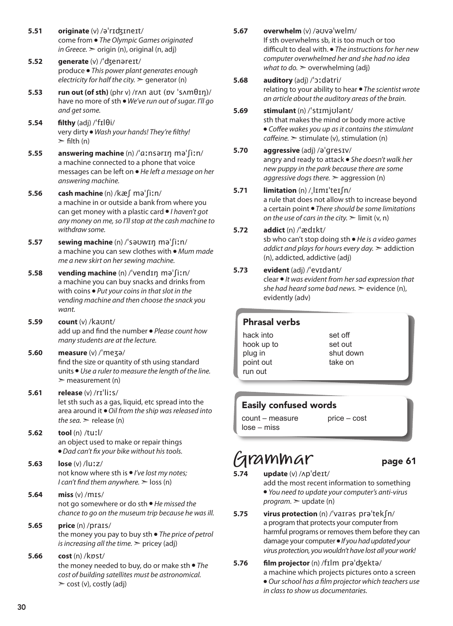- **5.51 originate** (v) /əˈrɪʤɪneɪt/ come from ● *The Olympic Games originated in Greece.* ➣ origin (n), original (n, adj)
- **5.52 generate** (v) /ˈʤenəreɪt/ produce ● *This power plant generates enough electricity for half the city.* ➣ generator (n)
- **5.53 run out (of sth)** (phr v) /rʌn aʊt (ɒv ˈsʌmθɪŋ)/ have no more of sth ● *We've run out of sugar. I'll go and get some.*
- **5.54 filthy** (adj)  $\frac{1}{1}$  **filthy** very dirty ● *Wash your hands! They're filthy!*   $\triangleright$  filth (n)
- **5.55 answering machine** (n) /ˈɑːnsərɪŋ məˈʃiːn/ a machine connected to a phone that voice messages can be left on ● *He left a message on her answering machine.*
- **5.56 cash machine** (n) /kæʃ məˈʃiːn/ a machine in or outside a bank from where you can get money with a plastic card ● *I haven't got any money on me, so I'll stop at the cash machine to withdraw some.*
- **5.57 sewing machine** (n) /ˈsəʊwɪŋ məˈʃiːn/ a machine you can sew clothes with ● *Mum made me a new skirt on her sewing machine.*
- **5.58 vending machine** (n) /ˈvendɪŋ məˈʃiːn/ a machine you can buy snacks and drinks from with coins ● *Put your coins in that slot in the vending machine and then choose the snack you want.*
- **5.59 count** (v) /kaʊnt/ add up and find the number ● *Please count how many students are at the lecture.*
- **5.60 measure** (v) /ˈmeʒə/ find the size or quantity of sth using standard units ● *Use a ruler to measure the length of the line.*   $\geq$  measurement (n)
- **5.61 release** (v) /rɪˈliːs/ let sth such as a gas, liquid, etc spread into the area around it ● *Oil from the ship was released into the sea.*  $\geq$  release (n)
- **5.62 tool** (n) /tuːl/ an object used to make or repair things ● *Dad can't fix your bike without his tools.*
- **5.63 lose** (v) /luːz/ not know where sth is ● *I've lost my notes; I can't find them anywhere.*  $>$  loss (n)
- **5.64 miss** (v) /mɪs/ not go somewhere or do sth ● *He missed the chance to go on the museum trip because he was ill.*

#### **5.65 price** (n) /praɪs/ the money you pay to buy sth ● *The price of petrol*

- *is increasing all the time.* > pricey (adj)
- **5.66 cost** (n) /kɒst/ the money needed to buy, do or make sth ● *The cost of building satellites must be astronomical.*   $\geq$  cost (v), costly (adj)
- **5.67 overwhelm** (v) /əʊvəˈwelm/ If sth overwhelms sb, it is too much or too difficult to deal with. ● *The instructions for her new computer overwhelmed her and she had no idea what to do.*  $\geq$  overwhelming (adj)
	- **5.68 auditory** (adj) /ˈɔːdətri/ relating to your ability to hear ● *The scientist wrote an article about the auditory areas of the brain.*
	- **5.69 stimulant** (n) /ˈstɪmjʊlənt/ sth that makes the mind or body more active ● *Coffee wakes you up as it contains the stimulant caffeine.* ➣ stimulate (v), stimulation (n)
	- **5.70 aggressive** (adj) /əˈgresɪv/ angry and ready to attack ● *She doesn't walk her new puppy in the park because there are some aggressive dogs there.* ➣ aggression (n)
	- **5.71 limitation** (n) /ˌlɪmɪˈteɪʃn/ a rule that does not allow sth to increase beyond a certain point ● *There should be some limitations on the use of cars in the city.*  $\geq$  limit (v, n)
	- **5.72 addict** (n) /ˈædɪkt/ sb who can't stop doing sth ● *He is a video games addict and plays for hours every day.* ➣ addiction (n), addicted, addictive (adj)
- **5.73 evident** (adj) /ˈevɪdənt/ clear ● *It was evident from her sad expression that she had heard some bad news.*  $\geq$  evidence (n), evidently (adv)
	- Phrasal verbs
	- hack into hook up to plug in point out run out

set off set out shut down take on

### Easily confused words

count – measure lose – miss

price – cost

### **Grammar** page 61

- **5.74 update** (v) /ʌpˈdeɪt/ add the most recent information to something ● *You need to update your computer's anti-virus program.* ➣ update (n)
- **5.75 virus protection** (n) /ˈvaɪrəs prəˈtekʃn/ a program that protects your computer from harmful programs or removes them before they can damage your computer ● *If you had updated your virus protection, you wouldn't have lost all your work!*
- **5.76 film projector** (n) /fɪlm prəˈʤektə/ a machine which projects pictures onto a screen ● *Our school has a film projector which teachers use in class to show us documentaries.*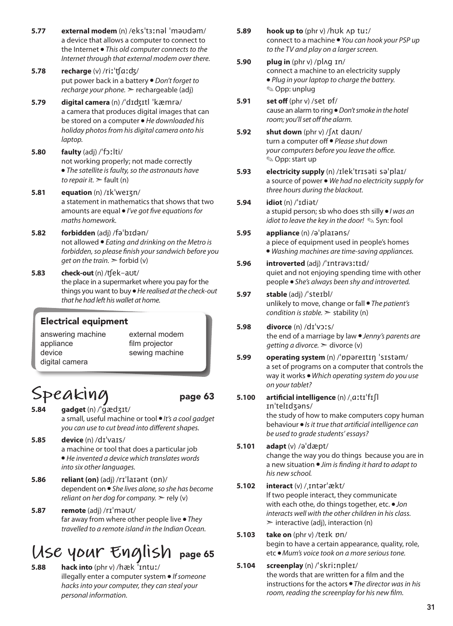- **5.77 external modem** (n) /eksˈtɜːnəl ˈməʊdəm/ a device that allows a computer to connect to the Internet ● *This old computer connects to the Internet through that external modem over there.*
- **5.78 recharge** (v) /riːˈʧɑːʤ/ put power back in a battery ● *Don't forget to recharge your phone.* ➣ rechargeable (adj)
- **5.79 digital camera** (n) /ˈdɪʤɪtl ˈkæmrə/ a camera that produces digital images that can be stored on a computer ● *He downloaded his holiday photos from his digital camera onto his laptop.*
- **5.80 faulty** (adj) /ˈfɔːlti/ not working properly; not made correctly ● *The satellite is faulty, so the astronauts have to repair it.* ➣ fault (n)
- **5.81 equation** (n) /ɪkˈweɪʒn/ a statement in mathematics that shows that two amounts are equal ● *I've got five equations for maths homework.*
- **5.82 forbidden** (adj) /fəˈbɪdən/ not allowed ● *Eating and drinking on the Metro is forbidden, so please finish your sandwich before you get on the train.* ➣ forbid (v)
- **5.83 check-out** (n) /ʧek-aʊt/ the place in a supermarket where you pay for the things you want to buy ● *He realised at the check-out that he had left his wallet at home.*

### Electrical equipment

answering machine appliance device digital camera

external modem film projector sewing machine

## Speaking page 63

- **5.84 gadget** (n) /ˈɡædʒɪt/ a small, useful machine or tool ● *It's a cool gadget you can use to cut bread into different shapes.*
- **5.85 device** (n) /dɪˈvaɪs/ a machine or tool that does a particular job ● *He invented a device which translates words into six other languages.*
- **5.86 reliant (on)** (adj) /rɪˈlaɪənt (ɒn)/ dependent on ● *She lives alone, so she has become reliant on her dog for company.*  $>$  rely (v)
- **5.87 remote** (adj) /rɪˈməʊt/ far away from where other people live ● *They travelled to a remote island in the Indian Ocean.*

### **Use your English** page 65

**5.88 hack into** (phr v) /hæk ˈɪntuː/ illegally enter a computer system ● *If someone hacks into your computer, they can steal your personal information.*

- **5.89 hook up to** (phr v) /hʊk ʌp tuː/ connect to a machine ● *You can hook your PSP up to the TV and play on a larger screen.*
- **5.90 plug in** (phr v) /plʌg ɪn/ connect a machine to an electricity supply ● *Plug in your laptop to charge the battery.* ✎ Opp: unplug
- **5.91 set off** (phr v) /set ɒf/ cause an alarm to ring ● *Don't smoke in the hotel room; you'll set off the alarm.*
- **5.92 shut down** (phr v) /ʃʌt daʊn/ turn a computer off ● *Please shut down your computers before you leave the office.* ✎ Opp: start up
- **5.93 electricity supply** (n) /ɪlekˈtrɪsəti səˈplaɪ/ a source of power ● *We had no electricity supply for three hours during the blackout.*
- **5.94 idiot** (n) /ˈɪdiət/ a stupid person; sb who does sth silly ● *I was an idiot to leave the key in the door!* ✎ Syn: fool

### **5.95 appliance** (n) /əˈplaɪəns/ a piece of equipment used in people's homes ● *Washing machines are time-saving appliances.*

**5.96 introverted** (adj) /ˈɪntrəvɜːtɪd/ quiet and not enjoying spending time with other people ● *She's always been shy and introverted.* 

#### **5.97 stable** (adj) /ˈsteɪbl/ unlikely to move, change or fall ● *The patient's condition is stable.* ➣ stability (n)

### **5.98 divorce** (n) /dɪˈvɔːs/ the end of a marriage by law ● *Jenny's parents are getting a divorce.* ➣ divorce (v)

- **5.99 operating system** (n) /ˈɒpəreɪtɪŋ ˈsɪstəm/ a set of programs on a computer that controls the way it works ● *Which operating system do you use on your tablet?*
- **5.100 artificial intelligence** (n) /ˌɑːtɪˈfɪʃl ɪnˈtelɪdʒəns/ the study of how to make computers copy human behaviour ● *Is it true that artificial intelligence can*
- *be used to grade students' essays?*  **5.101 adapt** (v) /əˈdæpt/ change the way you do things because you are in a new situation ● *Jim is finding it hard to adapt to his new school.*

### **5.102 interact** (v) /ˌɪntərˈækt/ If two people interact, they communicate with each othe, do things together, etc. ● *Jon interacts well with the other children in his class.*   $\triangleright$  interactive (adj), interaction (n)

- **5.103 take on** (phr v) /teɪk ɒn/ begin to have a certain appearance, quality, role, etc ● *Mum's voice took on a more serious tone.*
- **5.104 screenplay** (n) /ˈskriːnpleɪ/ the words that are written for a film and the instructions for the actors ● *The director was in his room, reading the screenplay for his new film.*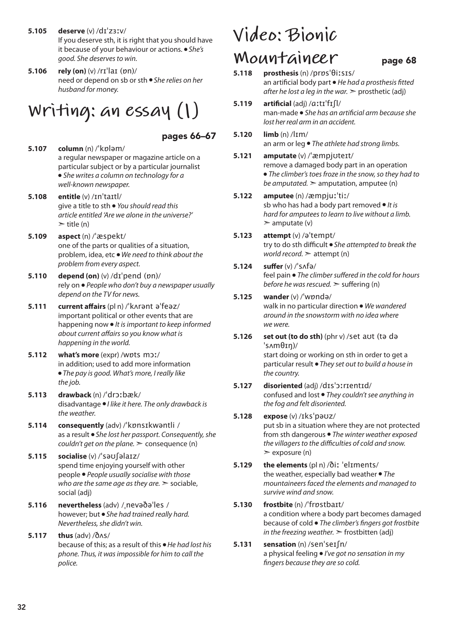- **5.105 deserve** (v) /dɪˈzɜːv/ If you deserve sth, it is right that you should have it because of your behaviour or actions. ● *She's good. She deserves to win.*
- **5.106 rely (on)** (v) /rɪˈlaɪ (ɒn)/ need or depend on sb or sth ● *She relies on her husband for money.*

## **Writing: an essay (1)**

### pages 66–67

- **5.107 column** (n) /ˈkɒləm/ a regular newspaper or magazine article on a particular subject or by a particular journalist ● *She writes a column on technology for a well-known newspaper.*
- **5.108 entitle** (v) /ɪnˈtaɪtl/ give a title to sth ● *You should read this article entitled 'Are we alone in the universe?'*  $\ge$  title (n)
- **5.109 aspect** (n) /ˈæspekt/ one of the parts or qualities of a situation, problem, idea, etc ● *We need to think about the problem from every aspect.*
- **5.110 depend (on)** (v) /dɪˈpend (ɒn)/ rely on ● *People who don't buy a newspaper usually depend on the TV for news.*
- **5.111 current affairs** (pl n) /ˈkʌrənt əˈfeəz/ important political or other events that are happening now ● *It is important to keep informed about current affairs so you know what is happening in the world.*
- **5.112 what's more** (expr) /wɒts mɔː/ in addition; used to add more information ● *The pay is good. What's more, I really like the job.*
- **5.113 drawback** (n) /ˈdrɔːbæk/ disadvantage ● *I like it here. The only drawback is the weather.*
- **5.114 consequently** (adv) /ˈkɒnsɪkwəntli / as a result ● *She lost her passport. Consequently, she couldn't get on the plane.* ➣ consequence (n)
- **5.115 socialise** (v) /ˈsəʊʃəlaɪz/ spend time enjoying yourself with other people ● *People usually socialise with those who are the same age as they are.* ➣ sociable, social (adj)
- **5.116 nevertheless** (adv) /ˌnevəðəˈles / however; but ● *She had trained really hard. Nevertheless, she didn't win.*
- **5.117 thus** (adv) /ðʌs/ because of this; as a result of this ● *He had lost his phone. Thus, it was impossible for him to call the police.*

# **Video: Bionic**

- **MOUNTAINEER** page 68<br>5.118 prosthesis (n) /prps'0i:sis/ **5.118 prosthesis** (n) /prɒsˈθiːsɪs/ an artificial body part ● *He had a prosthesis fitted after he lost a leg in the war.*  $\triangleright$  prosthetic (adj) **5.119 artificial** (adj) /ɑːtɪˈfɪʃl/ man-made ● *She has an artificial arm because she lost her real arm in an accident.* **5.120 limb** (n) /lɪm/ an arm or leg ● *The athlete had strong limbs.* **5.121 amputate** (v) /ˈæmpjʊteɪt/ remove a damaged body part in an operation ● *The climber's toes froze in the snow, so they had to be amputated.*  $\geq$  amputation, amputee (n) **5.122 amputee** (n) /æmpjuːˈtiː/ sb who has had a body part removed ● *It is hard for amputees to learn to live without a limb.*  $\geq$  amputate (v) **5.123 attempt** (v) /əˈtempt/ try to do sth difficult ● *She attempted to break the world record.* ➣ attempt (n) **5.124 suffer** (v) /ˈsʌfə/ feel pain ● *The climber suffered in the cold for hours before he was rescued.* > suffering (n)
- **5.125 wander** (v) /ˈwɒndə/ walk in no particular direction ● *We wandered around in the snowstorm with no idea where we were.*
- **5.126 set out (to do sth)** (phr v) /set aʊt (tə də ˈsʌmθɪŋ)/ start doing or working on sth in order to get a particular result ● *They set out to build a house in the country.*
- **5.127 disoriented** (adj) /dɪsˈɔːrɪentɪd/ confused and lost ● *They couldn't see anything in the fog and felt disoriented.*
- **5.128 expose** (v) /ɪksˈpəʊz/ put sb in a situation where they are not protected from sth dangerous ● *The winter weather exposed the villagers to the difficulties of cold and snow.*  $\geq$  exposure (n)
- **5.129 the elements** (pl n) /ðiː ˈelɪments/ the weather, especially bad weather ● *The mountaineers faced the elements and managed to survive wind and snow.*
- **5.130 frostbite** (n) /ˈfrɒstbaɪt/ a condition where a body part becomes damaged because of cold ● *The climber's fingers got frostbite in the freezing weather.*  $\ge$  frostbitten (adj)
- **5.131 sensation** (n) /senˈseɪʃn/ a physical feeling ● *I've got no sensation in my fingers because they are so cold.*